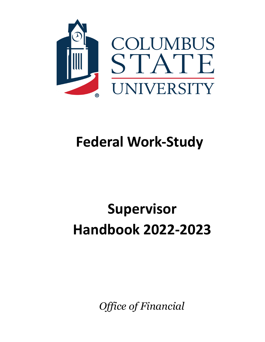

## **Federal Work-Study**

# **Supervisor Handbook 2022-2023**

*Office of Financial*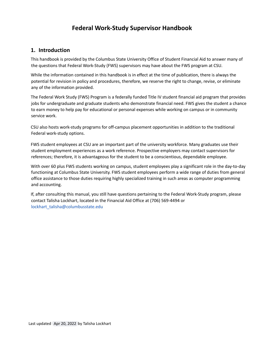## **Federal Work-Study Supervisor Handbook**

## **1. Introduction**

This handbook is provided by the Columbus State University Office of Student Financial Aid to answer many of the questions that Federal Work-Study (FWS) supervisors may have about the FWS program at CSU.

While the information contained in this handbook is in effect at the time of publication, there is always the potential for revision in policy and procedures, therefore, we reserve the right to change, revise, or eliminate any of the information provided.

The Federal Work Study (FWS) Program is a federally funded Title IV student financial aid program that provides jobs for undergraduate and graduate students who demonstrate financial need. FWS gives the student a chance to earn money to help pay for educational or personal expenses while working on campus or in community service work.

CSU also hosts work-study programs for off-campus placement opportunities in addition to the traditional Federal work-study options.

FWS student employees at CSU are an important part of the university workforce. Many graduates use their student employment experiences as a work reference. Prospective employers may contact supervisors for references; therefore, it is advantageous for the student to be a conscientious, dependable employee.

With over 60 plus FWS students working on campus, student employees play a significant role in the day-to-day functioning at Columbus State University. FWS student employees perform a wide range of duties from general office assistance to those duties requiring highly specialized training in such areas as computer programming and accounting.

If, after consulting this manual, you still have questions pertaining to the Federal Work-Study program, please contact Talisha Lockhart, located in the Financial Aid Office at (706) 569-4494 or [lockhart\\_talisha@columbusstate.edu](mailto:lockhart_talisha@columbusstate.edu)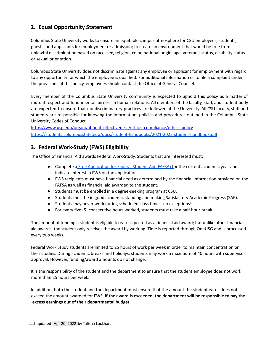## **2. Equal Opportunity Statement**

Columbus State University works to ensure an equitable campus atmosphere for CSU employees, students, guests, and applicants for employment or admission; to create an environment that would be free from unlawful discrimination based on race, sex, religion, color, national origin, age, veteran's status, disability status or sexual orientation.

Columbus State University does not discriminate against any employee or applicant for employment with regard to any opportunity for which the employee is qualified. For additional information or to file a complaint under the provisions of this policy, employees should contact the Office of General Counsel.

Every member of the Columbus State University community is expected to uphold this policy as a matter of mutual respect and fundamental fairness in human relations. All members of the faculty, staff, and student body are expected to ensure that nondiscriminatory practices are followed at the University. All CSU faculty, staff and students are responsible for knowing the information, policies and procedures outlined in the Columbus State University Codes of Conduct.

https://www.usg.edu/organizational effectiveness/ethics compliance/ethics policy <https://students.columbusstate.edu/docs/student-handbooks/2021-2022-student-handbook.pdf>

## **3. Federal Work-Study (FWS) Eligibility**

The Office of Financial Aid awards Federal Work-Study. Students that are interested must:

- Complete a Free [Application](https://fafsa.gov/) for Federal Student Aid (FAFSA) for the current academic year and indicate interest in FWS on the application.
- FWS recipients must have financial need as determined by the financial information provided on the FAFSA as well as financial aid awarded to the student.
- Students must be enrolled in a degree-seeking program at CSU.
- Students must be in good academic standing and making Satisfactory Academic Progress (SAP).
- Students may never work during scheduled class time no exceptions!
- For every five (5) consecutive hours worked, students must take a half-hour break.

The amount of funding a student is eligible to earn is posted as a financial aid award; but unlike other financial aid awards, the student only receives the award by working. Time is reported through OneUSG and is processed every two weeks.

Federal Work Study students are limited to 25 hours of work per week in order to maintain concentration on their studies. During academic breaks and holidays, students may work a maximum of 40 hours with supervisor approval. However, funding/award amounts do not change.

It is the responsibility of the student and the department to ensure that the student employee does not work more than 25 hours per week.

In addition, both the student and the department must ensure that the amount the student earns does not exceed the amount awarded for FWS. **If the award is exceeded, the department will be responsible to pay the excess earnings out of their departmental budget.**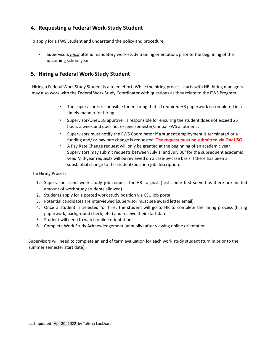## **4. Requesting a Federal Work-Study Student**

To apply for a FWS Student and understand the policy and procedure:

• Supervisors *must* attend mandatory work-study training orientation, prior to the beginning of the upcoming school year.

## **5. Hiring a Federal Work-Study Student**

Hiring a Federal Work Study Student is a team effort. While the hiring process starts with HR, hiring managers may also work with the Federal Work Study Coordinator with questions as they relate to the FWS Program.

- The supervisor is responsible for ensuring that all required HR paperwork is completed in a timely manner for hiring.
- Supervisor/OneUSG approver is responsible for ensuring the student does not exceed 25 hours a week and does not exceed semester/annual FWS allotment .
- Supervisors must notify the FWS Coordinator if a student employment is terminated or a funding and/ or pay rate change is requested. **The request must be submitted via OneUSG.**
- A Pay Rate Change request will only be granted at the beginning of an academic year. Supervisors may submit requests between July 1<sup>st</sup> and July 30<sup>th</sup> for the subsequent academic year. Mid-year requests will be reviewed on a case-by-case basis if there has been a substantial change to the student/position job description.

The Hiring Process:

- 1. Supervisors send work study job request for HR to post (first come first served as there are limited amount of work study students allowed)
- 2. Students apply for a posted work study position via CSU job portal
- 3. Potential candidates are interviewed (supervisor must see award letter email)
- 4. Once a student is selected for hire, the student will go to HR to complete the hiring process (hiring paperwork, background check, etc.) and receive their start date
- 5. Student will need to watch online orientation
- 6. Complete Work Study Acknowledgement (annually) after viewing online orientation

Supervisors will need to complete an end of term evaluation for each work study student (turn in prior to the summer semester start date).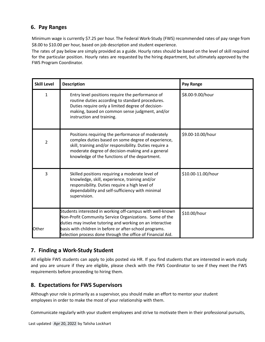## **6. Pay Ranges**

Minimum wage is currently \$7.25 per hour. The Federal Work-Study (FWS) recommended rates of pay range from \$8.00 to \$10.00 per hour, based on job description and student experience.

The rates of pay below are simply provided as a guide. Hourly rates should be based on the level of skill required for the particular position. Hourly rates are requested by the hiring department, but ultimately approved by the FWS Program Coordinator.

| <b>Skill Level</b> | <b>Description</b>                                                                                                                                                                                                                                                      | Pay Range          |
|--------------------|-------------------------------------------------------------------------------------------------------------------------------------------------------------------------------------------------------------------------------------------------------------------------|--------------------|
| 1                  | Entry level positions require the performance of<br>routine duties according to standard procedures.<br>Duties require only a limited degree of decision-<br>making, based on common sense judgment, and/or<br>instruction and training.                                | \$8.00-9.00/hour   |
| $\overline{2}$     | Positions requiring the performance of moderately<br>complex duties based on some degree of experience,<br>skill, training and/or responsibility. Duties require a<br>moderate degree of decision-making and a general<br>knowledge of the functions of the department. | \$9.00-10.00/hour  |
| $\overline{3}$     | Skilled positions requiring a moderate level of<br>knowledge, skill, experience, training and/or<br>responsibility. Duties require a high level of<br>dependability and self-sufficiency with minimal<br>supervision.                                                   | \$10.00-11.00/hour |
|                    | Students interested in working off-campus with well-known                                                                                                                                                                                                               | \$10.00/hour       |
|                    | Non-Profit Community Service Organizations. Some of the<br>duties may involve tutoring and working on an interactive                                                                                                                                                    |                    |
| Other              | basis with children in before or after-school programs.                                                                                                                                                                                                                 |                    |
|                    | Selection process done through the office of Financial Aid.                                                                                                                                                                                                             |                    |

## **7. Finding a Work-Study Student**

All eligible FWS students can apply to jobs posted via HR. If you find students that are interested in work study and you are unsure if they are eligible, please check with the FWS Coordinator to see if they meet the FWS requirements before proceeding to hiring them.

## **8. Expectations for FWS Supervisors**

Although your role is primarily as a supervisor, you should make an effort to mentor your student employees in order to make the most of your relationship with them.

Communicate regularly with your student employees and strive to motivate them in their professional pursuits,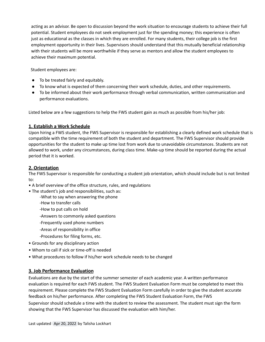acting as an advisor. Be open to discussion beyond the work situation to encourage students to achieve their full potential. Student employees do not seek employment just for the spending money; this experience is often just as educational as the classes in which they are enrolled. For many students, their college job is the first employment opportunity in their lives. Supervisors should understand that this mutually beneficial relationship with their students will be more worthwhile if they serve as mentors and allow the student employees to achieve their maximum potential.

Student employees are:

- To be treated fairly and equitably.
- To know what is expected of them concerning their work schedule, duties, and other requirements.
- To be informed about their work performance through verbal communication, written communication and performance evaluations.

Listed below are a few suggestions to help the FWS student gain as much as possible from his/her job:

#### **1. Establish a Work Schedule**

Upon hiring a FWS student, the FWS Supervisor is responsible for establishing a clearly defined work schedule that is compatible with the time requirement of both the student and department. The FWS Supervisor should provide opportunities for the student to make up time lost from work due to unavoidable circumstances. Students are not allowed to work, under any circumstances, during class time. Make-up time should be reported during the actual period that it is worked.

#### **2. Orientation**

The FWS Supervisor is responsible for conducting a student job orientation, which should include but is not limited to:

- A brief overview of the office structure, rules, and regulations
- The student's job and responsibilities, such as:
	- -What to say when answering the phone
	- -How to transfer calls
	- -How to put calls on hold
	- -Answers to commonly asked questions
	- -Frequently used phone numbers
	- -Areas of responsibility in office
	- -Procedures for filing forms, etc.
- Grounds for any disciplinary action
- Whom to call if sick or time-off is needed
- What procedures to follow if his/her work schedule needs to be changed

#### **3. Job Performance Evaluation**

Evaluations are due by the start of the summer semester of each academic year. A written performance evaluation is required for each FWS student. The FWS Student Evaluation Form must be completed to meet this requirement. Please complete the FWS Student Evaluation Form carefully in order to give the student accurate feedback on his/her performance. After completing the FWS Student Evaluation Form, the FWS Supervisor should schedule a time with the student to review the assessment. The student must sign the form showing that the FWS Supervisor has discussed the evaluation with him/her.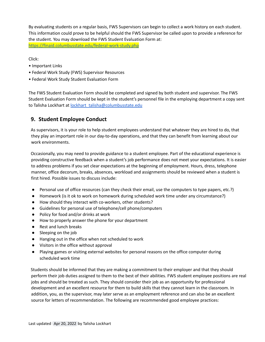By evaluating students on a regular basis, FWS Supervisors can begin to collect a work history on each student. This information could prove to be helpful should the FWS Supervisor be called upon to provide a reference for the student. You may download the FWS Student Evaluation Form at: <https://finaid.columbusstate.edu/federal-work-study.php>

Click:

- Important Links
- Federal Work Study (FWS) Supervisor Resources
- Federal Work Study Student Evaluation Form

The FWS Student Evaluation Form should be completed and signed by both student and supervisor. The FWS Student Evaluation Form should be kept in the student's personnel file in the employing department a copy sent to Talisha Lockhart at [lockhart\\_talisha@columbusstate.edu](mailto:lockhart_talisha@columbusstate.edu)

## **9. Student Employee Conduct**

As supervisors, it is your role to help student employees understand that whatever they are hired to do, that they play an important role in our day-to-day operations, and that they can benefit from learning about our work environments.

Occasionally, you may need to provide guidance to a student employee. Part of the educational experience is providing constructive feedback when a student's job performance does not meet your expectations. It is easier to address problems if you set clear expectations at the beginning of employment. Hours, dress, telephone manner, office decorum, breaks, absences, workload and assignments should be reviewed when a student is first hired. Possible issues to discuss include:

- Personal use of office resources (can they check their email, use the computers to type papers, etc.?)
- Homework (is it ok to work on homework during scheduled work time under any circumstance?)
- How should they interact with co-workers, other students?
- Guidelines for personal use of telephone/cell phone/computers
- Policy for food and/or drinks at work
- How to properly answer the phone for your department
- Rest and lunch breaks
- Sleeping on the job
- Hanging out in the office when not scheduled to work
- Visitors in the office without approval
- Playing games or visiting external websites for personal reasons on the office computer during scheduled work time

Students should be informed that they are making a commitment to their employer and that they should perform their job duties assigned to them to the best of their abilities. FWS student employee positions are real jobs and should be treated as such. They should consider their job as an opportunity for professional development and an excellent resource for them to build skills that they cannot learn in the classroom. In addition, you, as the supervisor, may later serve as an employment reference and can also be an excellent source for letters of recommendation. The following are recommended good employee practices: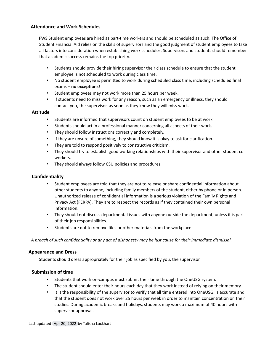#### **Attendance and Work Schedules**

FWS Student employees are hired as part-time workers and should be scheduled as such. The Office of Student Financial Aid relies on the skills of supervisors and the good judgment of student employees to take all factors into consideration when establishing work schedules. Supervisors and students should remember that academic success remains the top priority.

- Students should provide their hiring supervisor their class schedule to ensure that the student employee is not scheduled to work during class time.
- No student employee is permitted to work during scheduled class time, including scheduled final exams – **no exceptions**!
- Student employees may not work more than 25 hours per week.
- If students need to miss work for any reason, such as an emergency or illness, they should contact you, the supervisor, as soon as they know they will miss work.

#### **Attitude**

- Students are informed that supervisors count on student employees to be at work.
- Students should act in a professional manner concerning all aspects of their work.
- They should follow instructions correctly and completely.
- If they are unsure of something, they should know it is okay to ask for clarification.
- They are told to respond positively to constructive criticism.
- They should try to establish good working relationships with their supervisor and other student coworkers.
- They should always follow CSU policies and procedures.

#### **Confidentiality**

- Student employees are told that they are not to release or share confidential information about other students to anyone, including family members of the student, either by phone or in person. Unauthorized release of confidential information is a serious violation of the Family Rights and Privacy Act (FERPA). They are to respect the records as if they contained their own personal information.
- They should not discuss departmental issues with anyone outside the department, unless it is part of their job responsibilities.
- *•* Students are not to remove files or other materials from the workplace.

A breach of such confidentiality or any act of dishonesty may be just cause for their immediate dismissal.

#### **Appearance and Dress**

Students should dress appropriately for their job as specified by you, the supervisor.

#### **Submission of time**

- Students that work on-campus must submit their time through the OneUSG system.
- The student should enter their hours each day that they work instead of relying on their memory.
- It is the responsibility of the supervisor to verify that all time entered into OneUSG, is accurate and that the student does not work over 25 hours per week in order to maintain concentration on their studies. During academic breaks and holidays, students may work a maximum of 40 hours with supervisor approval.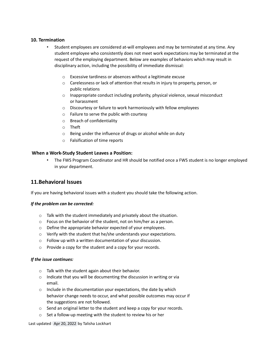#### **10. Termination**

- Student employees are considered at-will employees and may be terminated at any time. Any student employee who consistently does not meet work expectations may be terminated at the request of the employing department. Below are examples of behaviors which may result in disciplinary action, including the possibility of immediate dismissal:
	- o Excessive tardiness or absences without a legitimate excuse
	- o Carelessness or lack of attention that results in injury to property, person, or public relations
	- $\circ$  Inappropriate conduct including profanity, physical violence, sexual misconduct or harassment
	- o Discourtesy or failure to work harmoniously with fellow employees
	- o Failure to serve the public with courtesy
	- o Breach of confidentiality
	- o Theft
	- o Being under the influence of drugs or alcohol while on duty
	- o Falsification of time reports

#### **When a Work-Study Student Leaves a Position:**

• The FWS Program Coordinator and HR should be notified once a FWS student is no longer employed in your department.

#### **11.Behavioral Issues**

If you are having behavioral issues with a student you should take the following action.

#### *If the problem can be corrected:*

- o Talk with the student immediately and privately about the situation.
- o Focus on the behavior of the student, not on him/her as a person.
- o Define the appropriate behavior expected of your employees.
- o Verify with the student that he/she understands your expectations.
- o Follow up with a written documentation of your discussion.
- o Provide a copy for the student and a copy for your records.

#### *If the issue continues:*

- o Talk with the student again about their behavior.
- o Indicate that you will be documenting the discussion in writing or via email.
- o Include in the documentation your expectations, the date by which behavior change needs to occur, and what possible outcomes may occur if the suggestions are not followed.
- o Send an original letter to the student and keep a copy for your records.
- o Set a follow-up meeting with the student to review his or her